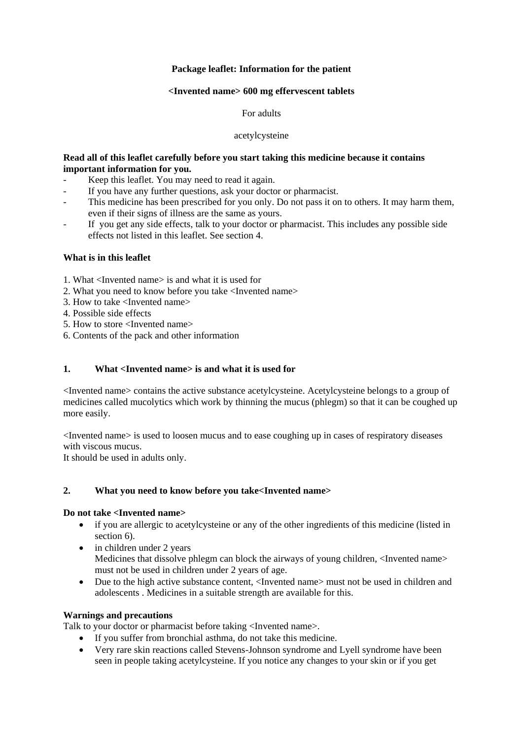# **Package leaflet: Information for the patient**

# **<Invented name> 600 mg effervescent tablets**

## For adults

### acetylcysteine

# **Read all of this leaflet carefully before you start taking this medicine because it contains important information for you.**

- Keep this leaflet. You may need to read it again.
- If you have any further questions, ask your doctor or pharmacist.
- This medicine has been prescribed for you only. Do not pass it on to others. It may harm them, even if their signs of illness are the same as yours.
- If you get any side effects, talk to your doctor or pharmacist. This includes any possible side effects not listed in this leaflet. See section 4.

### **What is in this leaflet**

1. What <Invented name> is and what it is used for

- 2. What you need to know before you take <Invented name>
- 3. How to take <Invented name>
- 4. Possible side effects
- 5. How to store <Invented name>
- 6. Contents of the pack and other information

# **1. What <Invented name> is and what it is used for**

<Invented name> contains the active substance acetylcysteine. Acetylcysteine belongs to a group of medicines called mucolytics which work by thinning the mucus (phlegm) so that it can be coughed up more easily.

<Invented name> is used to loosen mucus and to ease coughing up in cases of respiratory diseases with viscous mucus.

It should be used in adults only.

### **2. What you need to know before you take<Invented name>**

### **Do not take <Invented name>**

- if you are allergic to acetylcysteine or any of the other ingredients of this medicine (listed in section 6).
- in children under 2 years Medicines that dissolve phlegm can block the airways of young children,  $\langle$ Invented name> must not be used in children under 2 years of age.
- Due to the high active substance content, <Invented name> must not be used in children and adolescents . Medicines in a suitable strength are available for this.

## **Warnings and precautions**

Talk to your doctor or pharmacist before taking <Invented name>.

- If you suffer from bronchial asthma, do not take this medicine.
- Very rare skin reactions called Stevens-Johnson syndrome and Lyell syndrome have been seen in people taking acetylcysteine. If you notice any changes to your skin or if you get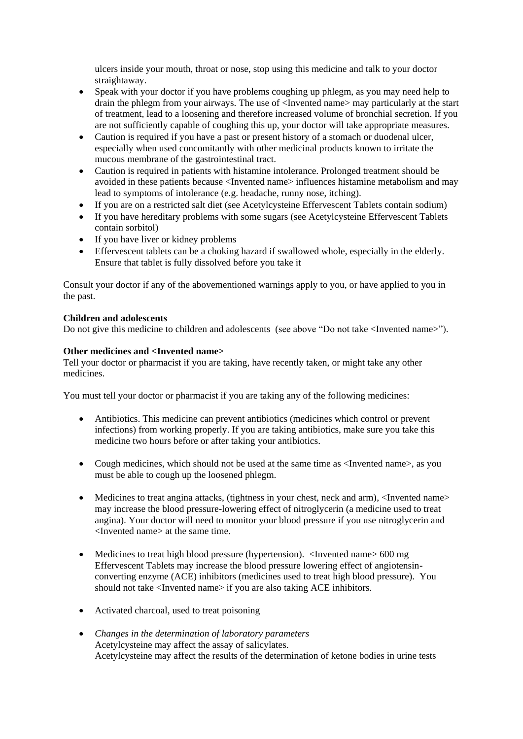ulcers inside your mouth, throat or nose, stop using this medicine and talk to your doctor straightaway.

- Speak with your doctor if you have problems coughing up phlegm, as you may need help to drain the phlegm from your airways. The use of <Invented name> may particularly at the start of treatment, lead to a loosening and therefore increased volume of bronchial secretion. If you are not sufficiently capable of coughing this up, your doctor will take appropriate measures.
- Caution is required if you have a past or present history of a stomach or duodenal ulcer, especially when used concomitantly with other medicinal products known to irritate the mucous membrane of the gastrointestinal tract.
- Caution is required in patients with histamine intolerance. Prolonged treatment should be avoided in these patients because <Invented name> influences histamine metabolism and may lead to symptoms of intolerance (e.g. headache, runny nose, itching).
- If you are on a restricted salt diet (see Acetylcysteine Effervescent Tablets contain sodium)
- If you have hereditary problems with some sugars (see Acetylcysteine Effervescent Tablets contain sorbitol)
- If you have liver or kidney problems
- Effervescent tablets can be a choking hazard if swallowed whole, especially in the elderly. Ensure that tablet is fully dissolved before you take it

Consult your doctor if any of the abovementioned warnings apply to you, or have applied to you in the past.

### **Children and adolescents**

Do not give this medicine to children and adolescents (see above "Do not take <Invented name>").

### **Other medicines and <Invented name>**

Tell your doctor or pharmacist if you are taking, have recently taken, or might take any other medicines.

You must tell your doctor or pharmacist if you are taking any of the following medicines:

- Antibiotics. This medicine can prevent antibiotics (medicines which control or prevent infections) from working properly. If you are taking antibiotics, make sure you take this medicine two hours before or after taking your antibiotics.
- Cough medicines, which should not be used at the same time as <Invented name>, as you must be able to cough up the loosened phlegm.
- Medicines to treat angina attacks, (tightness in your chest, neck and arm), <Invented name> may increase the blood pressure-lowering effect of nitroglycerin (a medicine used to treat angina). Your doctor will need to monitor your blood pressure if you use nitroglycerin and <Invented name> at the same time.
- Medicines to treat high blood pressure (hypertension). <Invented name> 600 mg Effervescent Tablets may increase the blood pressure lowering effect of angiotensinconverting enzyme (ACE) inhibitors (medicines used to treat high blood pressure). You should not take <Invented name> if you are also taking ACE inhibitors.
- Activated charcoal, used to treat poisoning
- *Changes in the determination of laboratory parameters* Acetylcysteine may affect the assay of salicylates. Acetylcysteine may affect the results of the determination of ketone bodies in urine tests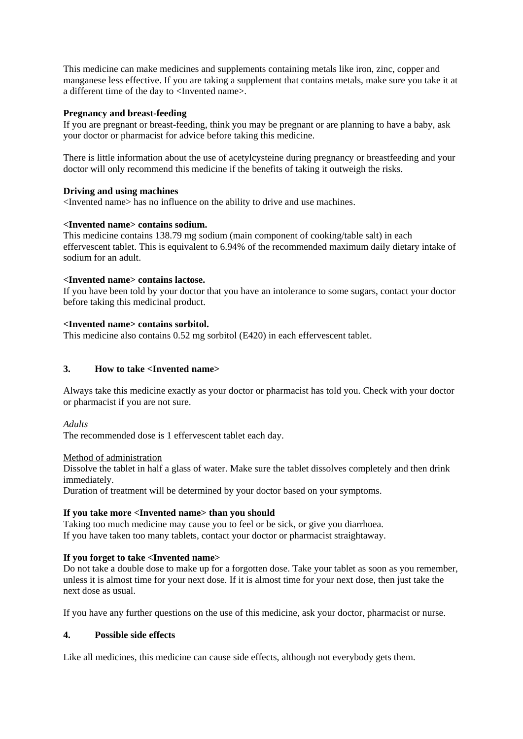This medicine can make medicines and supplements containing metals like iron, zinc, copper and manganese less effective. If you are taking a supplement that contains metals, make sure you take it at a different time of the day to <Invented name>.

## **Pregnancy and breast-feeding**

If you are pregnant or breast-feeding, think you may be pregnant or are planning to have a baby, ask your doctor or pharmacist for advice before taking this medicine.

There is little information about the use of acetylcysteine during pregnancy or breastfeeding and your doctor will only recommend this medicine if the benefits of taking it outweigh the risks.

# **Driving and using machines**

<Invented name> has no influence on the ability to drive and use machines.

### **<Invented name> contains sodium.**

This medicine contains 138.79 mg sodium (main component of cooking/table salt) in each effervescent tablet. This is equivalent to 6.94% of the recommended maximum daily dietary intake of sodium for an adult.

### **<Invented name> contains lactose.**

If you have been told by your doctor that you have an intolerance to some sugars, contact your doctor before taking this medicinal product.

### **<Invented name> contains sorbitol.**

This medicine also contains 0.52 mg sorbitol (E420) in each effervescent tablet.

# **3. How to take <Invented name>**

Always take this medicine exactly as your doctor or pharmacist has told you. Check with your doctor or pharmacist if you are not sure.

### *Adults*

The recommended dose is 1 effervescent tablet each day.

### Method of administration

Dissolve the tablet in half a glass of water. Make sure the tablet dissolves completely and then drink immediately.

Duration of treatment will be determined by your doctor based on your symptoms.

### **If you take more <Invented name> than you should**

Taking too much medicine may cause you to feel or be sick, or give you diarrhoea. If you have taken too many tablets, contact your doctor or pharmacist straightaway.

### **If you forget to take <Invented name>**

Do not take a double dose to make up for a forgotten dose. Take your tablet as soon as you remember, unless it is almost time for your next dose. If it is almost time for your next dose, then just take the next dose as usual.

If you have any further questions on the use of this medicine, ask your doctor, pharmacist or nurse.

# **4. Possible side effects**

Like all medicines, this medicine can cause side effects, although not everybody gets them.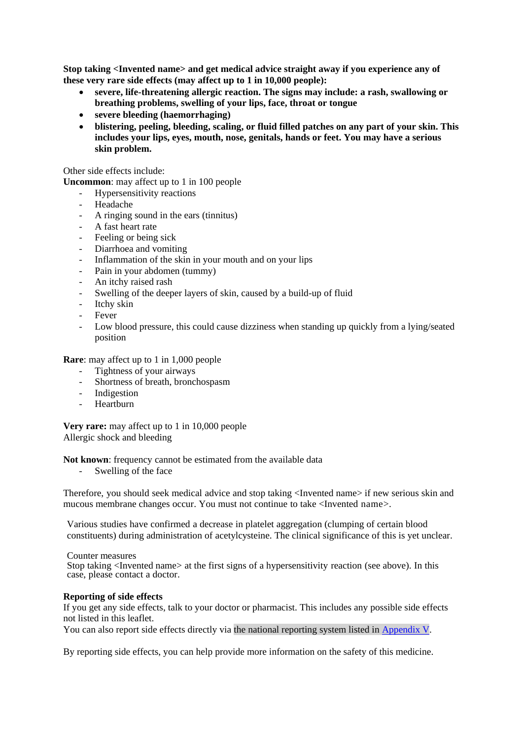**Stop taking <Invented name> and get medical advice straight away if you experience any of these very rare side effects (may affect up to 1 in 10,000 people):**

- **severe, life-threatening allergic reaction. The signs may include: a rash, swallowing or breathing problems, swelling of your lips, face, throat or tongue**
- **severe bleeding (haemorrhaging)**
- **blistering, peeling, bleeding, scaling, or fluid filled patches on any part of your skin. This includes your lips, eyes, mouth, nose, genitals, hands or feet. You may have a serious skin problem.**

Other side effects include:

**Uncommon**: may affect up to 1 in 100 people

- Hypersensitivity reactions
- Headache
- A ringing sound in the ears (tinnitus)
- A fast heart rate
- Feeling or being sick
- Diarrhoea and vomiting
- Inflammation of the skin in your mouth and on your lips
- Pain in your abdomen (tummy)
- An itchy raised rash
- Swelling of the deeper layers of skin, caused by a build-up of fluid
- Itchy skin
- **Fever**
- Low blood pressure, this could cause dizziness when standing up quickly from a lying/seated position

**Rare**: may affect up to 1 in 1,000 people

- Tightness of your airways
- Shortness of breath, bronchospasm
- Indigestion
- Heartburn

**Very rare:** may affect up to 1 in 10,000 people Allergic shock and bleeding

**Not known:** frequency cannot be estimated from the available data

- Swelling of the face

Therefore, you should seek medical advice and stop taking <Invented name> if new serious skin and mucous membrane changes occur. You must not continue to take <Invented name>.

Various studies have confirmed a decrease in platelet aggregation (clumping of certain blood constituents) during administration of acetylcysteine. The clinical significance of this is yet unclear.

Counter measures Stop taking <Invented name> at the first signs of a hypersensitivity reaction (see above). In this case, please contact a doctor.

### **Reporting of side effects**

If you get any side effects, talk to your doctor or pharmacist. This includes any possible side effects not listed in this leaflet.

You can also report side effects directly via the national reporting system listed in [Appendix V.](http://www.ema.europa.eu/docs/en_GB/document_library/Template_or_form/2013/03/WC500139752.doc)

By reporting side effects, you can help provide more information on the safety of this medicine.